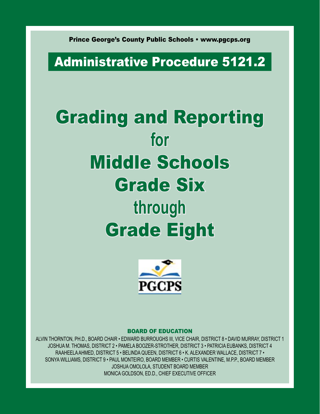Prince George's County Public Schools • www.pgcps.org

# Administrative Procedure 5121.2

# Grading and Reporting **for**  Middle Schools Grade Six **through**  Grade Eight



#### Board of Education

Alvin Thornton, Ph.D., BOARD CHAIR • Edward Burroughs III, VICE CHAIR, DISTRICT 8 • DAVID MURRAY, DISTRICT 1 Joshua M. Thomas, DISTRICT 2 • Pamela Boozer-Strother, DISTRICT 3 • PATRICIA EUBANKS, DISTRICT 4 RAAHEELA AHMED, DISTRICT 5 • Belinda Queen, DISTRICT 6 • K. ALEXANDER WALLACE, DISTRICT 7 • SONYA WILLIAMS, DISTRICT 9 • Paul Monteiro, BOARD MEMBER • CURTIS VALENTINE, M.P.P., BOARD MEMBER Joshua Omolola, STUDENT BOARD MEMBER MONICA GOLDSON, ED.D., CHIEF EXECUTIVE OFFICER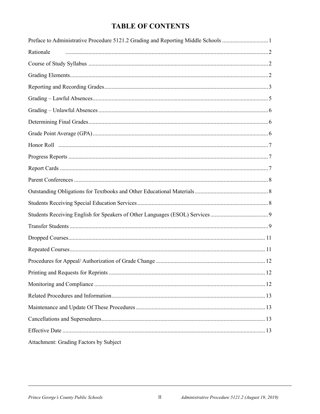#### **TABLE OF CONTENTS**

| Preface to Administrative Procedure 5121.2 Grading and Reporting Middle Schools 1 |  |
|-----------------------------------------------------------------------------------|--|
| Rationale                                                                         |  |
|                                                                                   |  |
|                                                                                   |  |
|                                                                                   |  |
|                                                                                   |  |
|                                                                                   |  |
|                                                                                   |  |
|                                                                                   |  |
|                                                                                   |  |
|                                                                                   |  |
|                                                                                   |  |
|                                                                                   |  |
|                                                                                   |  |
|                                                                                   |  |
|                                                                                   |  |
|                                                                                   |  |
|                                                                                   |  |
|                                                                                   |  |
|                                                                                   |  |
|                                                                                   |  |
|                                                                                   |  |
|                                                                                   |  |
|                                                                                   |  |
|                                                                                   |  |
|                                                                                   |  |
| Attachment: Grading Factors by Subject                                            |  |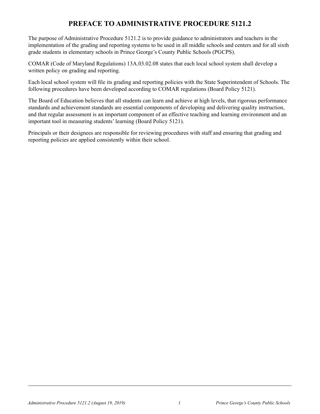#### **Preface to Administrative Procedure 5121.2**

The purpose of Administrative Procedure 5121.2 is to provide guidance to administrators and teachers in the implementation of the grading and reporting systems to be used in all middle schools and centers and for all sixth grade students in elementary schools in Prince George's County Public Schools (PGCPS).

COMAR (Code of Maryland Regulations) 13A.03.02.08 states that each local school system shall develop a written policy on grading and reporting.

Each local school system will file its grading and reporting policies with the State Superintendent of Schools. The following procedures have been developed according to COMAR regulations (Board Policy 5121).

The Board of Education believes that all students can learn and achieve at high levels, that rigorous performance standards and achievement standards are essential components of developing and delivering quality instruction, and that regular assessment is an important component of an effective teaching and learning environment and an important tool in measuring students' learning (Board Policy 5121).

Principals or their designees are responsible for reviewing procedures with staff and ensuring that grading and reporting policies are applied consistently within their school.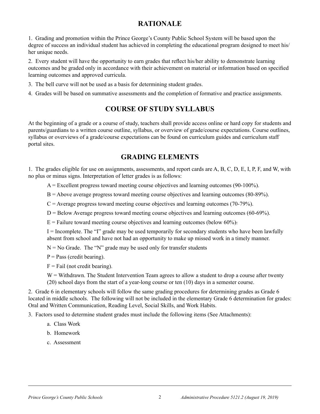#### **Rationale**

1. Grading and promotion within the Prince George's County Public School System will be based upon the degree of success an individual student has achieved in completing the educational program designed to meet his/ her unique needs.

2. Every student will have the opportunity to earn grades that reflect his/her ability to demonstrate learning outcomes and be graded only in accordance with their achievement on material or information based on specified learning outcomes and approved curricula.

- 3. The bell curve will not be used as a basis for determining student grades.
- 4. Grades will be based on summative assessments and the completion of formative and practice assignments.

#### **COURSE OF STUDY syllabus**

At the beginning of a grade or a course of study, teachers shall provide access online or hard copy for students and parents/guardians to a written course outline, syllabus, or overview of grade/course expectations. Course outlines, syllabus or overviews of a grade/course expectations can be found on curriculum guides and curriculum staff portal sites.

#### **Grading Elements**

1. The grades eligible for use on assignments, assessments, and report cards are A, B, C, D, E, I, P, F, and W, with no plus or minus signs. Interpretation of letter grades is as follows:

 $A =$  Excellent progress toward meeting course objectives and learning outcomes (90-100%).

- B = Above average progress toward meeting course objectives and learning outcomes (80-89%).
- $C =$  Average progress toward meeting course objectives and learning outcomes (70-79%).
- $D =$  Below Average progress toward meeting course objectives and learning outcomes (60-69%).
- $E =$  Failure toward meeting course objectives and learning outcomes (below 60%).

 $I = Incomplete.$  The "I" grade may be used temporarily for secondary students who have been lawfully absent from school and have not had an opportunity to make up missed work in a timely manner.

 $N = No$  Grade. The "N" grade may be used only for transfer students

 $P = Pass$  (credit bearing).

 $F =$ Fail (not credit bearing).

W = Withdrawn. The Student Intervention Team agrees to allow a student to drop a course after twenty (20) school days from the start of a year-long course or ten (10) days in a semester course.

2. Grade 6 in elementary schools will follow the same grading procedures for determining grades as Grade 6 located in middle schools. The following will not be included in the elementary Grade 6 determination for grades: Oral and Written Communication, Reading Level, Social Skills, and Work Habits.

3. Factors used to determine student grades must include the following items (See Attachments):

- a. Class Work
- b. Homework
- c. Assessment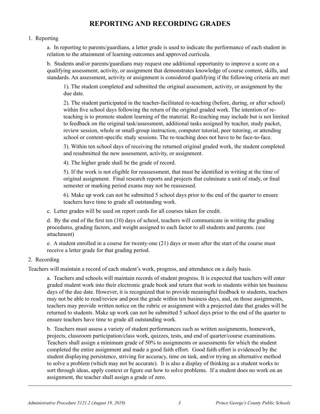#### **Reporting and Recording Grades**

#### 1. Reporting

a. In reporting to parents/guardians, a letter grade is used to indicate the performance of each student in relation to the attainment of learning outcomes and approved curricula.

b. Students and/or parents/guardians may request one additional opportunity to improve a score on a qualifying assessment, activity, or assignment that demonstrates knowledge of course content, skills, and standards. An assessment, activity or assignment is considered qualifying if the following criteria are met:

1). The student completed and submitted the original assessment, activity, or assignment by the due date.

2). The student participated in the teacher-facilitated re-teaching (before, during, or after school) within five school days following the return of the original graded work. The intention of reteaching is to promote student learning of the material. Re-teaching may include but is not limited to feedback on the original task/assessment, additional tasks assigned by teacher, study packet, review session, whole or small-group instruction, computer tutorial, peer tutoring, or attending school or content-specific study sessions. The re-teaching does not have to be face-to-face.

3). Within ten school days of receiving the returned original graded work, the student completed and resubmitted the new assessment, activity, or assignment.

4). The higher grade shall be the grade of record.

5). If the work is not eligible for reassessment, that must be identified in writing at the time of original assignment. Final research reports and projects that culminate a unit of study, or final semester or marking period exams may not be reassessed.

6). Make up work can not be submitted 5 school days prior to the end of the quarter to ensure teachers have time to grade all outstanding work.

c. Letter grades will be used on report cards for all courses taken for credit.

d. By the end of the first ten (10) days of school, teachers will communicate in writing the grading procedures, grading factors, and weight assigned to each factor to all students and parents. (see attachment)

e. A student enrolled in a course for twenty-one (21) days or more after the start of the course must receive a letter grade for that grading period.

#### 2. Recording

Teachers will maintain a record of each student's work, progress, and attendance on a daily basis.

a. Teachers and schools will maintain records of student progress. It is expected that teachers will enter graded student work into their electronic grade book and return that work to students within ten business days of the due date. However, it is recognized that to provide meaningful feedback to students, teachers may not be able to read/review and post the grade within ten business days, and, on those assignments, teachers may provide written notice on the rubric or assignment with a projected date that grades will be returned to students. Make up work can not be submitted 5 school days prior to the end of the quarter to ensure teachers have time to grade all outstanding work.

b. Teachers must assess a variety of student performances such as written assignments, homework, projects, classroom participation/class work, quizzes, tests, and end of quarter/course examinations. Teachers shall assign a minimum grade of 50% to assignments or assessments for which the student completed the entire assignment and made a good faith effort. Good faith effort is evidenced by the student displaying persistence, striving for accuracy, time on task, and/or trying an alternative method to solve a problem (which may not be accurate). It is also a display of thinking as a student works to sort through ideas, apply context or figure out how to solve problems. If a student does no work on an assignment, the teacher shall assign a grade of zero.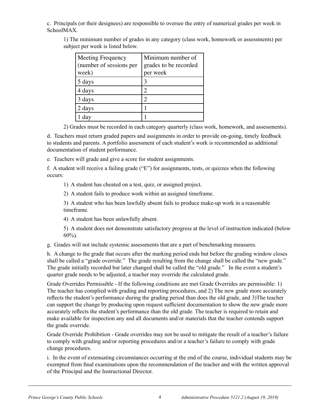c. Principals (or their designees) are responsible to oversee the entry of numerical grades per week in SchoolMAX.

1) The minimum number of grades in any category (class work, homework or assessments) per subject per week is listed below.

| <b>Meeting Frequency</b><br>(number of sessions per<br>week) | Minimum number of<br>grades to be recorded<br>per week |
|--------------------------------------------------------------|--------------------------------------------------------|
| 5 days                                                       |                                                        |
| 4 days                                                       |                                                        |
| 3 days                                                       |                                                        |
| 2 days                                                       |                                                        |
| day                                                          |                                                        |

2) Grades must be recorded in each category quarterly (class work, homework, and assessments).

d. Teachers must return graded papers and assignments in order to provide on-going, timely feedback to students and parents. A portfolio assessment of each student's work is recommended as additional documentation of student performance.

e. Teachers will grade and give a score for student assignments.

f. A student will receive a failing grade ("E") for assignments, tests, or quizzes when the following occurs:

1) A student has cheated on a test, quiz, or assigned project.

2) A student fails to produce work within an assigned timeframe.

3) A student who has been lawfully absent fails to produce make-up work in a reasonable timeframe.

4) A student has been unlawfully absent.

5) A student does not demonstrate satisfactory progress at the level of instruction indicated (below 60%).

g. Grades will not include systemic assessments that are a part of benchmarking measures.

h. A change to the grade that occurs after the marking period ends but before the grading window closes shall be called a "grade override." The grade resulting from the change shall be called the "new grade." The grade initially recorded but later changed shall be called the "old grade." In the event a student's quarter grade needs to be adjusted, a teacher may override the calculated grade.

Grade Overrides Permissible - If the following conditions are met Grade Overrides are permissible: 1) The teacher has complied with grading and reporting procedures, and 2) The new grade more accurately reflects the student's performance during the grading period than does the old grade, and 3)The teacher can support the change by producing upon request sufficient documentation to show the new grade more accurately reflects the student's performance than the old grade. The teacher is required to retain and make available for inspection any and all documents and/or materials that the teacher contends support the grade override.

Grade Override Prohibition - Grade overrides may not be used to mitigate the result of a teacher's failure to comply with grading and/or reporting procedures and/or a teacher's failure to comply with grade change procedures.

i. In the event of extenuating circumstances occurring at the end of the course, individual students may be exempted from final examinations upon the recommendation of the teacher and with the written approval of the Principal and the Instructional Director.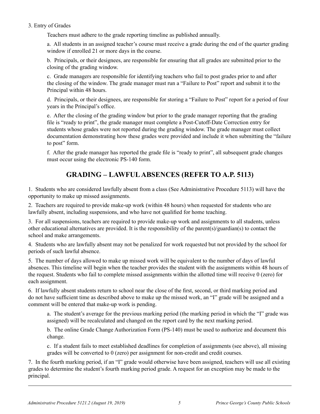#### 3. Entry of Grades

Teachers must adhere to the grade reporting timeline as published annually.

a. All students in an assigned teacher's course must receive a grade during the end of the quarter grading window if enrolled 21 or more days in the course.

b. Principals, or their designees, are responsible for ensuring that all grades are submitted prior to the closing of the grading window.

c. Grade managers are responsible for identifying teachers who fail to post grades prior to and after the closing of the window. The grade manager must run a "Failure to Post" report and submit it to the Principal within 48 hours.

d. Principals, or their designees, are responsible for storing a "Failure to Post" report for a period of four years in the Principal's office.

e. After the closing of the grading window but prior to the grade manager reporting that the grading file is "ready to print", the grade manager must complete a Post-Cutoff-Date Correction entry for students whose grades were not reported during the grading window. The grade manager must collect documentation demonstrating how these grades were provided and include it when submitting the "failure to post" form.

f. After the grade manager has reported the grade file is "ready to print", all subsequent grade changes must occur using the electronic PS-140 form.

#### **Grading – Lawful Absences (Refer to A.P. 5113)**

1. Students who are considered lawfully absent from a class (See Administrative Procedure 5113) will have the opportunity to make up missed assignments.

2. Teachers are required to provide make-up work (within 48 hours) when requested for students who are lawfully absent, including suspensions, and who have not qualified for home teaching.

3. For all suspensions, teachers are required to provide make-up work and assignments to all students, unless other educational alternatives are provided. It is the responsibility of the parent(s)/guardian(s) to contact the school and make arrangements.

4. Students who are lawfully absent may not be penalized for work requested but not provided by the school for periods of such lawful absence.

5. The number of days allowed to make up missed work will be equivalent to the number of days of lawful absences. This timeline will begin when the teacher provides the student with the assignments within 48 hours of the request. Students who fail to complete missed assignments within the allotted time will receive 0 (zero) for each assignment.

6. If lawfully absent students return to school near the close of the first, second, or third marking period and do not have sufficient time as described above to make up the missed work, an "I" grade will be assigned and a comment will be entered that make-up work is pending.

a. The student's average for the previous marking period (the marking period in which the "I" grade was assigned) will be recalculated and changed on the report card by the next marking period.

b. The online Grade Change Authorization Form (PS-140) must be used to authorize and document this change.

c. If a student fails to meet established deadlines for completion of assignments (see above), all missing grades will be converted to 0 (zero) per assignment for non-credit and credit courses.

7. In the fourth marking period, if an "I" grade would otherwise have been assigned, teachers will use all existing grades to determine the student's fourth marking period grade. A request for an exception may be made to the principal.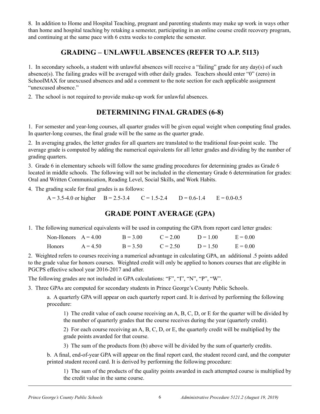8. In addition to Home and Hospital Teaching, pregnant and parenting students may make up work in ways other than home and hospital teaching by retaking a semester, participating in an online course credit recovery program, and continuing at the same pace with 6 extra weeks to complete the semester.

#### **Grading – Unlawful Absences (Refer to A.P. 5113)**

1. In secondary schools, a student with unlawful absences will receive a "failing" grade for any day(s) of such absence(s). The failing grades will be averaged with other daily grades. Teachers should enter "0" (zero) in SchoolMAX for unexcused absences and add a comment to the note section for each applicable assignment "unexcused absence."

2. The school is not required to provide make-up work for unlawful absences.

#### **Determining Final Grades (6-8)**

1. For semester and year-long courses, all quarter grades will be given equal weight when computing final grades. In quarter-long courses, the final grade will be the same as the quarter grade.

2. In averaging grades, the letter grades for all quarters are translated to the traditional four-point scale. The average grade is computed by adding the numerical equivalents for all letter grades and dividing by the number of grading quarters.

3. Grade 6 in elementary schools will follow the same grading procedures for determining grades as Grade 6 located in middle schools. The following will not be included in the elementary Grade 6 determination for grades: Oral and Written Communication, Reading Level, Social Skills, and Work Habits.

4. The grading scale for final grades is as follows:

 $A = 3.5-4.0$  or higher  $B = 2.5-3.4$   $C = 1.5-2.4$   $D = 0.6-1.4$   $E = 0.0-0.5$ 

#### **Grade Point Average (GPA)**

1. The following numerical equivalents will be used in computing the GPA from report card letter grades:

| Non-Honors $A = 4.00$ |            | $B = 3.00$ | $C = 2.00$ | $D = 1.00$ | $E = 0.00$ |
|-----------------------|------------|------------|------------|------------|------------|
| Honors                | $A = 4.50$ | $B = 3.50$ | $C = 2.50$ | $D = 1.50$ | $E = 0.00$ |

2. Weighted refers to courses receiving a numerical advantage in calculating GPA, an additional .5 points added to the grade value for honors courses. Weighted credit will only be applied to honors courses that are eligible in PGCPS effective school year 2016-2017 and after.

The following grades are not included in GPA calculations: "F", "I", "N", "P", "W".

3. Three GPAs are computed for secondary students in Prince George's County Public Schools.

a. A quarterly GPA will appear on each quarterly report card. It is derived by performing the following procedure:

1) The credit value of each course receiving an A, B, C, D, or E for the quarter will be divided by the number of quarterly grades that the course receives during the year (quarterly credit).

2) For each course receiving an A, B, C, D, or E, the quarterly credit will be multiplied by the grade points awarded for that course.

3) The sum of the products from (b) above will be divided by the sum of quarterly credits.

b. A final, end-of-year GPA will appear on the final report card, the student record card, and the computer printed student record card. It is derived by performing the following procedure:

1) The sum of the products of the quality points awarded in each attempted course is multiplied by the credit value in the same course.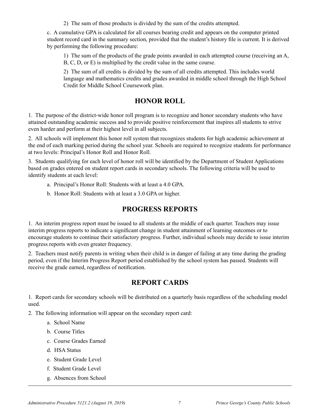2) The sum of those products is divided by the sum of the credits attempted.

c. A cumulative GPA is calculated for all courses bearing credit and appears on the computer printed student record card in the summary section, provided that the student's history file is current. It is derived by performing the following procedure:

1) The sum of the products of the grade points awarded in each attempted course (receiving an A, B, C, D, or E) is multiplied by the credit value in the same course.

2) The sum of all credits is divided by the sum of all credits attempted. This includes world language and mathematics credits and grades awarded in middle school through the High School Credit for Middle School Coursework plan.

#### **Honor Roll**

1. The purpose of the district-wide honor roll program is to recognize and honor secondary students who have attained outstanding academic success and to provide positive reinforcement that inspires all students to strive even harder and perform at their highest level in all subjects.

2. All schools will implement this honor roll system that recognizes students for high academic achievement at the end of each marking period during the school year. Schools are required to recognize students for performance at two levels: Principal's Honor Roll and Honor Roll.

3. Students qualifying for each level of honor roll will be identified by the Department of Student Applications based on grades entered on student report cards in secondary schools. The following criteria will be used to identify students at each level:

- a. Principal's Honor Roll: Students with at least a 4.0 GPA.
- b. Honor Roll: Students with at least a 3.0 GPA or higher.

#### **Progress Reports**

1. An interim progress report must be issued to all students at the middle of each quarter. Teachers may issue interim progress reports to indicate a significant change in student attainment of learning outcomes or to encourage students to continue their satisfactory progress. Further, individual schools may decide to issue interim progress reports with even greater frequency.

2. Teachers must notify parents in writing when their child is in danger of failing at any time during the grading period, even if the Interim Progress Report period established by the school system has passed. Students will receive the grade earned, regardless of notification.

#### **Report Cards**

1. Report cards for secondary schools will be distributed on a quarterly basis regardless of the scheduling model used.

2. The following information will appear on the secondary report card:

- a. School Name
- b. Course Titles
- c. Course Grades Earned
- d. HSA Status
- e. Student Grade Level
- f. Student Grade Level
- g. Absences from School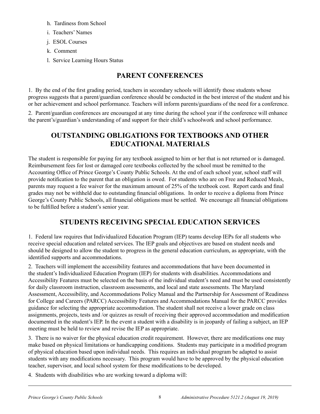- h. Tardiness from School
- i. Teachers' Names
- j. ESOL Courses
- k. Comment
- l. Service Learning Hours Status

#### **Parent Conferences**

1. By the end of the first grading period, teachers in secondary schools will identify those students whose progress suggests that a parent/guardian conference should be conducted in the best interest of the student and his or her achievement and school performance. Teachers will inform parents/guardians of the need for a conference.

2. Parent/guardian conferences are encouraged at any time during the school year if the conference will enhance the parent's/guardian's understanding of and support for their child's schoolwork and school performance.

#### **Outstanding Obligations for Textbooks and Other Educational Materials**

The student is responsible for paying for any textbook assigned to him or her that is not returned or is damaged. Reimbursement fees for lost or damaged core textbooks collected by the school must be remitted to the Accounting Office of Prince George's County Public Schools. At the end of each school year, school staff will provide notification to the parent that an obligation is owed. For students who are on Free and Reduced Meals, parents may request a fee waiver for the maximum amount of 25% of the textbook cost. Report cards and final grades may not be withheld due to outstanding financial obligations. In order to receive a diploma from Prince George's County Public Schools, all financial obligations must be settled. We encourage all financial obligations to be fulfilled before a student's senior year.

#### **Students Receiving Special Education Services**

1. Federal law requires that Individualized Education Program (IEP) teams develop IEPs for all students who receive special education and related services. The IEP goals and objectives are based on student needs and should be designed to allow the student to progress in the general education curriculum, as appropriate, with the identified supports and accommodations.

2. Teachers will implement the accessibility features and accommodations that have been documented in the student's Individualized Education Program (IEP) for students with disabilities. Accommodations and Accessibility Features must be selected on the basis of the individual student's need and must be used consistently for daily classroom instruction, classroom assessments, and local and state assessments. The Maryland Assessment, Accessibility, and Accommodations Policy Manual and the Partnership for Assessment of Readiness for College and Careers (PARCC) Accessibility Features and Accommodations Manual for the PARCC provides guidance for selecting the appropriate accommodation. The student shall not receive a lower grade on class assignments, projects, tests and /or quizzes as result of receiving their approved accommodation and modification documented in the student's IEP. In the event a student with a disability is in jeopardy of failing a subject, an IEP meeting must be held to review and revise the IEP as appropriate.

3. There is no waiver for the physical education credit requirement. However, there are modifications one may make based on physical limitations or handicapping conditions. Students may participate in a modified program of physical education based upon individual needs. This requires an individual program be adapted to assist students with any modifications necessary. This program would have to be approved by the physical education teacher, supervisor, and local school system for these modifications to be developed.

4. Students with disabilities who are working toward a diploma will: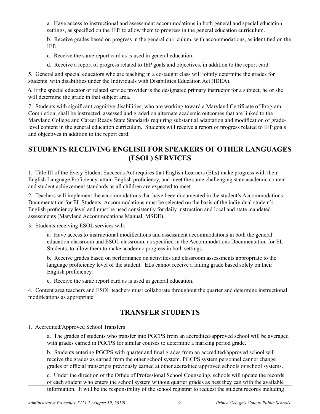a. Have access to instructional and assessment accommodations in both general and special education settings, as specified on the IEP, to allow them to progress in the general education curriculum.

b. Receive grades based on progress in the general curriculum, with accommodations, as identified on the IEP.

- c. Receive the same report card as is used in general education.
- d. Receive a report of progress related to IEP goals and objectives, in addition to the report card.

5. General and special educators who are teaching in a co-taught class will jointly determine the grades for students with disabilities under the Individuals with Disabilities Education Act (IDEA).

6. If the special educator or related service provider is the designated primary instructor for a subject, he or she will determine the grade in that subject area.

7. Students with significant cognitive disabilities, who are working toward a Maryland Certificate of Program Completion, shall be instructed, assessed and graded on alternate academic outcomes that are linked to the Maryland College and Career Ready State Standards requiring substantial adaptation and modification of gradelevel content in the general education curriculum. Students will receive a report of progress related to IEP goals and objectives in addition to the report card.

#### **Students Receiving English for Speakers of Other Languages (ESOL) Services**

1. Title III of the Every Student Succeeds Act requires that English Learners (ELs) make progress with their English Language Proficiency, attain English proficiency, and meet the same challenging state academic content and student achievement standards as all children are expected to meet.

2. Teachers will implement the accommodations that have been documented in the student's Accommodations Documentation for EL Students. Accommodations must be selected on the basis of the individual student's English proficiency level and must be used consistently for daily instruction and local and state mandated assessments (Maryland Accommodations Manual, MSDE).

3. Students receiving ESOL services will:

a. Have access to instructional modifications and assessment accommodations in both the general education classroom and ESOL classroom, as specified in the Accommodations Documentation for EL Students, to allow them to make academic progress in both settings.

b. Receive grades based on performance on activities and classroom assessments appropriate to the language proficiency level of the student. ELs cannot receive a failing grade based solely on their English proficiency.

c. Receive the same report card as is used in general education.

4. Content area teachers and ESOL teachers must collaborate throughout the quarter and determine instructional modifications as appropriate.

#### **Transfer Students**

1. Accredited/Approved School Transfers

a. The grades of students who transfer into PGCPS from an accredited/approved school will be averaged with grades earned in PGCPS for similar courses to determine a marking period grade.

b. Students entering PGCPS with quarter and final grades from an accredited/approved school will receive the grades as earned from the other school system. PGCPS system personnel cannot change grades or official transcripts previously earned at other accredited/approved schools or school systems.

c. Under the direction of the Office of Professional School Counseling, schools will update the records of each student who enters the school system without quarter grades as best they can with the available information. It will be the responsibility of the school registrar to request the student records including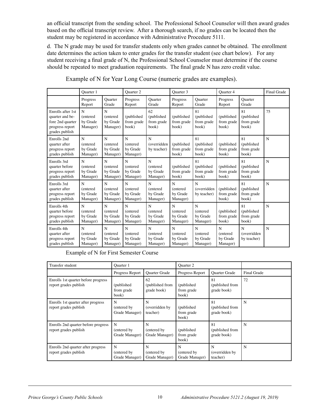an official transcript from the sending school. The Professional School Counselor will then award grades based on the official transcript review. After a thorough search, if no grades can be located then the student may be registered in accordance with Administrative Procedure 5111.

d. The N grade may be used for transfer students only when grades cannot be obtained. The enrollment date determines the action taken to enter grades for the transfer student (see chart below). For any student receiving a final grade of N, the Professional School Counselor must determine if the course should be repeated to meet graduation requirements. The final grade N has zero credit value.

|                                                                                               | Ouarter 1                                        |                                        | <b>Ouarter 2</b>                       | Quarter 3<br>Quarter 4                          |                                                 |                                         |                                       |                                         | <b>Final Grade</b> |
|-----------------------------------------------------------------------------------------------|--------------------------------------------------|----------------------------------------|----------------------------------------|-------------------------------------------------|-------------------------------------------------|-----------------------------------------|---------------------------------------|-----------------------------------------|--------------------|
|                                                                                               | Progress<br>Report                               | <b>Quarter</b><br>Grade                | Progress<br>Report                     | <b>Quarter</b><br>Grade                         | Progress<br>Report                              | <b>Ouarter</b><br>Grade                 | Progress<br>Report                    | <b>Ouarter</b><br>Grade                 |                    |
| Enrolls after 1st<br>quarter and be-<br>fore 2nd quarter<br>progress report<br>grades publish | $\mathbf N$<br>(entered<br>by Grade<br>Manager)  | N<br>(entered)<br>by Grade<br>Manager) | (published<br>from grade<br>book)      | 62<br>(published<br>from grade<br>book)         | (published<br>from grade<br>book)               | 81<br>(published<br>from grade<br>book) | (published<br>from grade<br>book)     | 81<br>(published<br>from grade<br>book) | 75                 |
| Enrolls 2nd<br>quarter after<br>progress report<br>grades publish                             | $\mathbf N$<br>(entered<br>by Grade<br>Manager)  | N<br>(entered)<br>by Grade<br>Manager) | N<br>(entered<br>by Grade<br>Manager)  | N<br>(overridden<br>by teacher)                 | (published<br>from grade<br>book)               | 81<br>(published<br>from grade<br>book) | (published<br>from grade<br>book)     | 81<br>(published<br>from grade<br>book) | N                  |
| Enrolls 3rd<br>quarter before<br>progress report<br>grades publish                            | $\mathbf N$<br>(entered)<br>by Grade<br>Manager) | N<br>(entered<br>by Grade<br>Manager)  | N<br>(entered<br>by Grade<br>Manager)  | $\mathbf N$<br>(entered<br>by Grade<br>Manager) | (published<br>from grade<br>book)               | 81<br>(published<br>from grade<br>book) | (published<br>from grade<br>book)     | 81<br>(published<br>from grade<br>book) | N                  |
| Enrolls 3rd<br>quarter after<br>progress report<br>grades publish                             | N<br>(entered<br>by Grade<br>Manager)            | N<br>(entered<br>by Grade<br>Manager)  | N<br>(entered<br>by Grade<br>Manager)  | $\mathbf N$<br>(entered<br>by Grade<br>Manager) | $\mathbf N$<br>(entered<br>by Grade<br>Manager) | N<br>(overridden<br>by teacher)         | (published<br>from grade<br>book)     | 81<br>(published<br>from grade<br>book) | N                  |
| Enrolls 4th<br>quarter before<br>progress report<br>grades publish                            | N<br>(entered<br>by Grade<br>Manager)            | N<br>(entered)<br>by Grade<br>Manager) | N<br>(entered)<br>by Grade<br>Manager) | N<br>(entered<br>by Grade<br>Manager)           | N<br>(entered<br>by Grade<br>Manager)           | N<br>(entered<br>by Grade<br>Manager)   | (published<br>from grade<br>book)     | 81<br>(published<br>from grade<br>book) | N                  |
| Enrolls 4th<br>quarter after<br>progress report<br>grades publish                             | N<br>(entered<br>by Grade<br>Manager)            | N<br>(entered<br>by Grade<br>Manager)  | N<br>(entered<br>by Grade<br>Manager)  | $\mathbf N$<br>(entered<br>by Grade<br>Manager) | N<br>(entered<br>by Grade<br>Manager)           | N<br>(entered<br>by Grade<br>Manager)   | N<br>(entered<br>by Grade<br>Manager) | N<br>(overridden<br>by teacher)         | N                  |

Example of N for Year Long Course (numeric grades are examples).

Example of N for First Semester Course

| Transfer student                                             | Quarter 1                          |                                      | <b>Ouarter 2</b>                   |                                      |             |
|--------------------------------------------------------------|------------------------------------|--------------------------------------|------------------------------------|--------------------------------------|-------------|
|                                                              | Progress Report                    | <b>Ouarter Grade</b>                 | Progress Report                    | <b>Ouarter Grade</b>                 | Final Grade |
| Enrolls 1st quarter before progress<br>report grades publish | (published<br>from grade<br>book)  | 62<br>(published from<br>grade book) | (published)<br>from grade<br>book) | 81<br>(published from<br>grade book) | 72          |
| Enrolls 1st quarter after progress<br>report grades publish  | N<br>(entered by<br>Grade Manager) | N<br>(overridden by<br>teacher)      | (published)<br>from grade<br>book) | 81<br>(published from<br>grade book) | N           |
| Enrolls 2nd quarter before progress<br>report grades publish | N<br>(entered by<br>Grade Manager) | N<br>(entered by<br>Grade Manager)   | (published)<br>from grade<br>book) | 81<br>(published from<br>grade book) | N           |
| Enrolls 2nd quarter after progress<br>report grades publish  | N<br>(entered by<br>Grade Manager) | N<br>(entered by)<br>Grade Manager)  | N<br>entered by)<br>Grade Manager) | N<br>(overridden by<br>teacher)      | N           |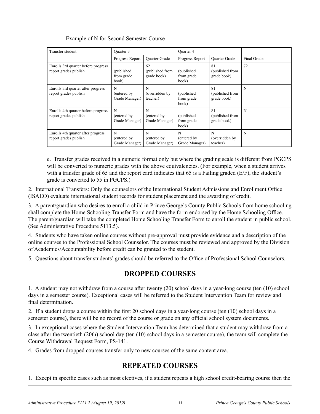| Transfer student                                             | Quarter 3                           |                                      | Quarter 4                          |                                      |             |
|--------------------------------------------------------------|-------------------------------------|--------------------------------------|------------------------------------|--------------------------------------|-------------|
|                                                              | Progress Report                     | <b>Ouarter Grade</b>                 | Progress Report                    | <b>Ouarter Grade</b>                 | Final Grade |
| Enrolls 3rd quarter before progress<br>report grades publish | (published)<br>from grade<br>book)  | 62<br>(published from<br>grade book) | (published)<br>from grade<br>book) | 81<br>(published from<br>grade book) | 72          |
| Enrolls 3rd quarter after progress<br>report grades publish  | N<br>(entered by)<br>Grade Manager) | N<br>(overridden by<br>teacher)      | (published)<br>from grade<br>book) | 81<br>(published from<br>grade book) | N           |
| Enrolls 4th quarter before progress<br>report grades publish | N<br>(entered by<br>Grade Manager)  | N<br>(entered by<br>Grade Manager)   | (published)<br>from grade<br>book) | 81<br>(published from<br>grade book) | N           |
| Enrolls 4th quarter after progress<br>report grades publish  | N<br>(entered by<br>Grade Manager)  | N<br>(entered by<br>Grade Manager)   | N<br>(entered by<br>Grade Manager) | N<br>(overridden by<br>teacher)      | N           |

e. Transfer grades received in a numeric format only but where the grading scale is different from PGCPS will be converted to numeric grades with the above equivalencies. (For example, when a student arrives with a transfer grade of 65 and the report card indicates that 65 is a Failing graded (E/F), the student's grade is converted to 55 in PGCPS.)

2. International Transfers: Only the counselors of the International Student Admissions and Enrollment Office (ISAEO) evaluate international student records for student placement and the awarding of credit.

3. A parent/guardian who desires to enroll a child in Prince George's County Public Schools from home schooling shall complete the Home Schooling Transfer Form and have the form endorsed by the Home Schooling Office. The parent/guardian will take the completed Home Schooling Transfer Form to enroll the student in public school. (See Administrative Procedure 5113.5).

4. Students who have taken online courses without pre-approval must provide evidence and a description of the online courses to the Professional School Counselor. The courses must be reviewed and approved by the Division of Academics/Accountability before credit can be granted to the student.

5. Questions about transfer students' grades should be referred to the Office of Professional School Counselors.

#### **Dropped Courses**

1. A student may not withdraw from a course after twenty (20) school days in a year-long course (ten (10) school days in a semester course). Exceptional cases will be referred to the Student Intervention Team for review and final determination.

2. If a student drops a course within the first 20 school days in a year-long course (ten (10) school days in a semester course), there will be no record of the course or grade on any official school system documents.

3. In exceptional cases where the Student Intervention Team has determined that a student may withdraw from a class after the twentieth (20th) school day (ten (10) school days in a semester course), the team will complete the Course Withdrawal Request Form, PS-141.

4. Grades from dropped courses transfer only to new courses of the same content area.

#### **Repeated Courses**

1. Except in specific cases such as most electives, if a student repeats a high school credit-bearing course then the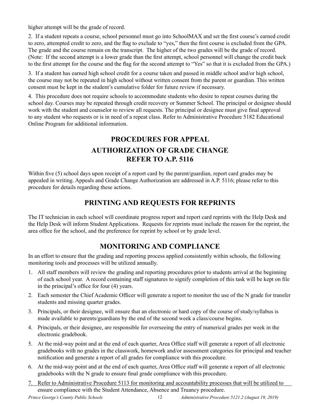higher attempt will be the grade of record.

2. If a student repeats a course, school personnel must go into SchoolMAX and set the first course's earned credit to zero, attempted credit to zero, and the flag to exclude to "yes," then the first course is excluded from the GPA. The grade and the course remain on the transcript. The higher of the two grades will be the grade of record. (Note: If the second attempt is a lower grade than the first attempt, school personnel will change the credit back to the first attempt for the course and the flag for the second attempt to "Yes" so that it is excluded from the GPA.)

3. If a student has earned high school credit for a course taken and passed in middle school and/or high school, the course may not be repeated in high school without written consent from the parent or guardian. This written consent must be kept in the student's cumulative folder for future review if necessary.

4. This procedure does not require schools to accommodate students who desire to repeat courses during the school day. Courses may be repeated through credit recovery or Summer School. The principal or designee should work with the student and counselor to review all requests. The principal or designee must give final approval to any student who requests or is in need of a repeat class. Refer to Administrative Procedure 5182 Educational Online Program for additional information.

#### **Procedures for Appeal Authorization of Grade Change Refer to A.P. 5116**

Within five (5) school days upon receipt of a report card by the parent/guardian, report card grades may be appealed in writing. Appeals and Grade Change Authorization are addressed in A.P. 5116; please refer to this procedure for details regarding these actions.

#### **Printing and Requests for Reprints**

The IT technician in each school will coordinate progress report and report card reprints with the Help Desk and the Help Desk will inform Student Applications. Requests for reprints must include the reason for the reprint, the area office for the school, and the preference for reprint by school or by grade level.

#### **MONITORING AND COMPLIANCE**

In an effort to ensure that the grading and reporting process applied consistently within schools, the following monitoring tools and processes will be utilized annually.

- 1. All staff members will review the grading and reporting procedures prior to students arrival at the beginning of each school year. A record containing staff signatures to signify completion of this task will be kept on file in the principal's office for four (4) years.
- 2. Each semester the Chief Academic Officer will generate a report to monitor the use of the N grade for transfer students and missing quarter grades.
- 3. Principals, or their designee, will ensure that an electronic or hard copy of the course of study/syllabus is made available to parents/guardians by the end of the second week a class/course begins.
- 4. Principals, or their designee, are responsible for overseeing the entry of numerical grades per week in the electronic gradebook.
- 5. At the mid-way point and at the end of each quarter, Area Office staff will generate a report of all electronic gradebooks with no grades in the classwork, homework and/or assessment categories for principal and teacher notification and generate a report of all grades for compliance with this procedure.
- 6. At the mid-way point and at the end of each quarter, Area Office staff will generate a report of all electronic gradebooks with the N grade to ensure final grade compliance with this procedure.
- 7. Refer to Administrative Procedure 5113 for monitoring and accountability processes that will be utilized to ensure compliance with the Student Attendance, Absence and Truancy procedure.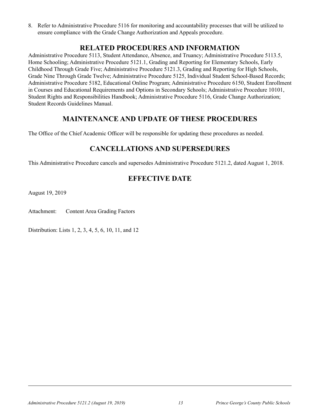8. Refer to Administrative Procedure 5116 for monitoring and accountability processes that will be utilized to ensure compliance with the Grade Change Authorization and Appeals procedure.

#### **Related Procedures and Information**

Administrative Procedure 5113, Student Attendance, Absence, and Truancy; Administrative Procedure 5113.5, Home Schooling; Administrative Procedure 5121.1, Grading and Reporting for Elementary Schools, Early Childhood Through Grade Five; Administrative Procedure 5121.3, Grading and Reporting for High Schools, Grade Nine Through Grade Twelve; Administrative Procedure 5125, Individual Student School-Based Records; Administrative Procedure 5182, Educational Online Program; Administrative Procedure 6150, Student Enrollment in Courses and Educational Requirements and Options in Secondary Schools; Administrative Procedure 10101, Student Rights and Responsibilities Handbook; Administrative Procedure 5116, Grade Change Authorization; Student Records Guidelines Manual.

#### **Maintenance and Update of these Procedures**

The Office of the Chief Academic Officer will be responsible for updating these procedures as needed.

#### **Cancellations and Supersedures**

This Administrative Procedure cancels and supersedes Administrative Procedure 5121.2, dated August 1, 2018.

#### **Effective Date**

August 19, 2019

Attachment: Content Area Grading Factors

Distribution: Lists 1, 2, 3, 4, 5, 6, 10, 11, and 12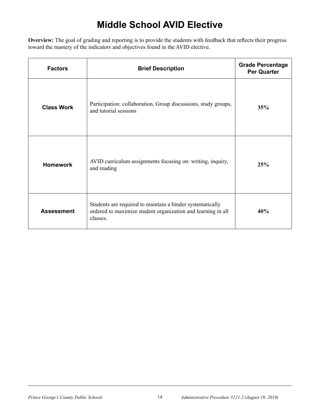# **Middle School AVID Elective**

**Overview:** The goal of grading and reporting is to provide the students with feedback that reflects their progress toward the mastery of the indicators and objectives found in the AVID elective.

| <b>Factors</b>    | <b>Brief Description</b>                                                                                                              | <b>Grade Percentage</b><br><b>Per Quarter</b> |
|-------------------|---------------------------------------------------------------------------------------------------------------------------------------|-----------------------------------------------|
| <b>Class Work</b> | Participation: collaboration, Group discussions, study groups,<br>and tutorial sessions                                               | 35%                                           |
| <b>Homework</b>   | AVID curriculum assignments focusing on: writing, inquiry,<br>and reading                                                             | 25%                                           |
| <b>Assessment</b> | Students are required to maintain a binder systematically<br>ordered to maximize student organization and learning in all<br>classes. | 40%                                           |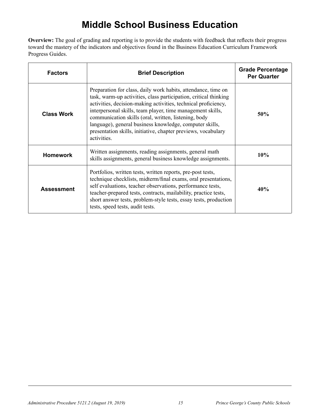### **Middle School Business Education**

**Overview:** The goal of grading and reporting is to provide the students with feedback that reflects their progress toward the mastery of the indicators and objectives found in the Business Education Curriculum Framework Progress Guides.

| <b>Factors</b>    | <b>Brief Description</b>                                                                                                                                                                                                                                                                                                                                                                                                                                             | <b>Grade Percentage</b><br><b>Per Quarter</b> |
|-------------------|----------------------------------------------------------------------------------------------------------------------------------------------------------------------------------------------------------------------------------------------------------------------------------------------------------------------------------------------------------------------------------------------------------------------------------------------------------------------|-----------------------------------------------|
| <b>Class Work</b> | Preparation for class, daily work habits, attendance, time on<br>task, warm-up activities, class participation, critical thinking<br>activities, decision-making activities, technical proficiency,<br>interpersonal skills, team player, time management skills,<br>communication skills (oral, written, listening, body<br>language), general business knowledge, computer skills,<br>presentation skills, initiative, chapter previews, vocabulary<br>activities. | 50%                                           |
| <b>Homework</b>   | Written assignments, reading assignments, general math<br>skills assignments, general business knowledge assignments.                                                                                                                                                                                                                                                                                                                                                | 10%                                           |
| <b>Assessment</b> | Portfolios, written tests, written reports, pre-post tests,<br>technique checklists, midterm/final exams, oral presentations,<br>self evaluations, teacher observations, performance tests,<br>teacher-prepared tests, contracts, mailability, practice tests,<br>short answer tests, problem-style tests, essay tests, production<br>tests, speed tests, audit tests.                                                                                               | 40%                                           |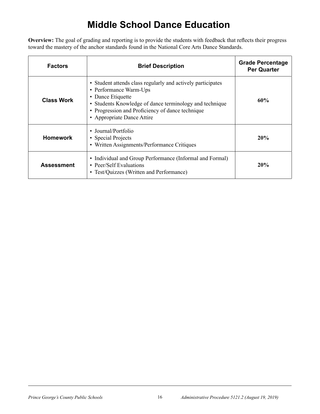# **Middle School Dance Education**

**Overview:** The goal of grading and reporting is to provide the students with feedback that reflects their progress toward the mastery of the anchor standards found in the National Core Arts Dance Standards.

| <b>Factors</b>    | <b>Brief Description</b>                                                                                                                                                                                                                                | <b>Grade Percentage</b><br><b>Per Quarter</b> |
|-------------------|---------------------------------------------------------------------------------------------------------------------------------------------------------------------------------------------------------------------------------------------------------|-----------------------------------------------|
| <b>Class Work</b> | • Student attends class regularly and actively participates<br>• Performance Warm-Ups<br>• Dance Etiquette<br>• Students Knowledge of dance terminology and technique<br>• Progression and Proficiency of dance technique<br>• Appropriate Dance Attire | 60%                                           |
| <b>Homework</b>   | • Journal/Portfolio<br>• Special Projects<br>• Written Assignments/Performance Critiques                                                                                                                                                                | 20%                                           |
| <b>Assessment</b> | • Individual and Group Performance (Informal and Formal)<br>• Peer/Self Evaluations<br>• Test/Quizzes (Written and Performance)                                                                                                                         | 20%                                           |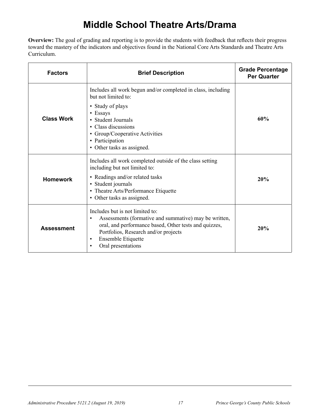### **Middle School Theatre Arts/Drama**

**Overview:** The goal of grading and reporting is to provide the students with feedback that reflects their progress toward the mastery of the indicators and objectives found in the National Core Arts Standards and Theatre Arts Curriculum.

| <b>Factors</b>    | <b>Brief Description</b>                                                                                                                                                                                                                                                     | <b>Grade Percentage</b><br><b>Per Quarter</b> |
|-------------------|------------------------------------------------------------------------------------------------------------------------------------------------------------------------------------------------------------------------------------------------------------------------------|-----------------------------------------------|
| <b>Class Work</b> | Includes all work begun and/or completed in class, including<br>but not limited to:<br>• Study of plays<br>• Essays<br>• Student Journals<br>• Class discussions<br>• Group/Cooperative Activities<br>• Participation<br>• Other tasks as assigned.                          | 60%                                           |
| <b>Homework</b>   | Includes all work completed outside of the class setting<br>including but not limited to:<br>• Readings and/or related tasks<br>• Student journals<br>• Theatre Arts/Performance Etiquette<br>• Other tasks as assigned.                                                     | 20%                                           |
| <b>Assessment</b> | Includes but is not limited to:<br>Assessments (formative and summative) may be written,<br>$\bullet$<br>oral, and performance based, Other tests and quizzes,<br>Portfolios, Research and/or projects<br>Ensemble Etiquette<br>$\bullet$<br>Oral presentations<br>$\bullet$ | 20%                                           |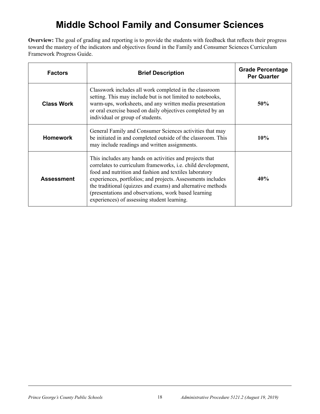### **Middle School Family and Consumer Sciences**

**Overview:** The goal of grading and reporting is to provide the students with feedback that reflects their progress toward the mastery of the indicators and objectives found in the Family and Consumer Sciences Curriculum Framework Progress Guide.

| <b>Factors</b>    | <b>Brief Description</b>                                                                                                                                                                                                                                                                                                                                                                                                       | <b>Grade Percentage</b><br><b>Per Quarter</b> |
|-------------------|--------------------------------------------------------------------------------------------------------------------------------------------------------------------------------------------------------------------------------------------------------------------------------------------------------------------------------------------------------------------------------------------------------------------------------|-----------------------------------------------|
| <b>Class Work</b> | Classwork includes all work completed in the classroom<br>setting. This may include but is not limited to notebooks,<br>warm-ups, worksheets, and any written media presentation<br>or oral exercise based on daily objectives completed by an<br>individual or group of students.                                                                                                                                             | 50%                                           |
| <b>Homework</b>   | General Family and Consumer Sciences activities that may<br>be initiated in and completed outside of the classroom. This<br>may include readings and written assignments.                                                                                                                                                                                                                                                      | <b>10%</b>                                    |
| <b>Assessment</b> | This includes any hands on activities and projects that<br>correlates to curriculum frameworks, <i>i.e.</i> child development,<br>food and nutrition and fashion and textiles laboratory<br>experiences, portfolios; and projects. Assessments includes<br>the traditional (quizzes and exams) and alternative methods<br>(presentations and observations, work based learning)<br>experiences) of assessing student learning. | 40%                                           |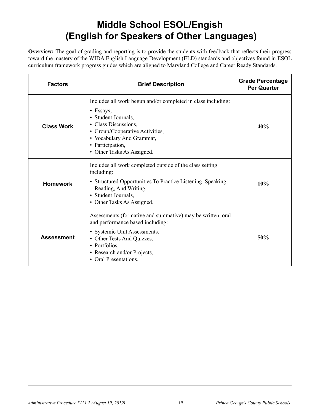# **Middle School ESOL/Engish (English for Speakers of Other Languages)**

**Overview:** The goal of grading and reporting is to provide the students with feedback that reflects their progress toward the mastery of the WIDA English Language Development (ELD) standards and objectives found in ESOL curriculum framework progress guides which are aligned to Maryland College and Career Ready Standards.

| <b>Factors</b>    | <b>Brief Description</b>                                                                                                                                                                                                                           | <b>Grade Percentage</b><br><b>Per Quarter</b> |
|-------------------|----------------------------------------------------------------------------------------------------------------------------------------------------------------------------------------------------------------------------------------------------|-----------------------------------------------|
| <b>Class Work</b> | Includes all work begun and/or completed in class including:<br>$\bullet$ Essays,<br>• Student Journals,<br>• Class Discussions,<br>• Group/Cooperative Activities,<br>• Vocabulary And Grammar,<br>• Participation,<br>• Other Tasks As Assigned. | 40%                                           |
| <b>Homework</b>   | Includes all work completed outside of the class setting<br>including:<br>• Structured Opportunities To Practice Listening, Speaking,<br>Reading, And Writing,<br>• Student Journals,<br>• Other Tasks As Assigned.                                | 10%                                           |
| <b>Assessment</b> | Assessments (formative and summative) may be written, oral,<br>and performance based including:<br>• Systemic Unit Assessments,<br>• Other Tests And Quizzes,<br>• Portfolios,<br>• Research and/or Projects,<br>• Oral Presentations.             | 50%                                           |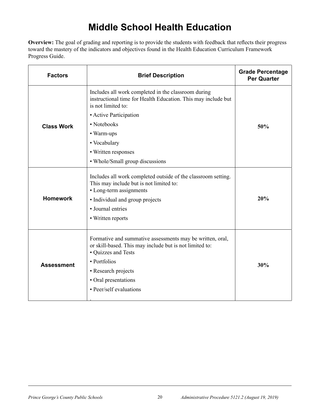### **Middle School Health Education**

**Overview:** The goal of grading and reporting is to provide the students with feedback that reflects their progress toward the mastery of the indicators and objectives found in the Health Education Curriculum Framework Progress Guide.

| <b>Factors</b>    | <b>Brief Description</b>                                                                                                                                                                                                              | <b>Grade Percentage</b><br><b>Per Quarter</b> |
|-------------------|---------------------------------------------------------------------------------------------------------------------------------------------------------------------------------------------------------------------------------------|-----------------------------------------------|
|                   | Includes all work completed in the classroom during<br>instructional time for Health Education. This may include but<br>is not limited to:                                                                                            |                                               |
|                   | • Active Participation                                                                                                                                                                                                                |                                               |
| <b>Class Work</b> | • Notebooks                                                                                                                                                                                                                           | 50%                                           |
|                   | • Warm-ups                                                                                                                                                                                                                            |                                               |
|                   | • Vocabulary                                                                                                                                                                                                                          |                                               |
|                   | • Written responses                                                                                                                                                                                                                   |                                               |
|                   | • Whole/Small group discussions                                                                                                                                                                                                       |                                               |
| <b>Homework</b>   | Includes all work completed outside of the classroom setting.<br>This may include but is not limited to:<br>• Long-term assignments<br>• Individual and group projects<br>· Journal entries<br>• Written reports                      | 20%                                           |
| <b>Assessment</b> | Formative and summative assessments may be written, oral,<br>or skill-based. This may include but is not limited to:<br>• Quizzes and Tests<br>• Portfolios<br>• Research projects<br>• Oral presentations<br>• Peer/self evaluations | 30%                                           |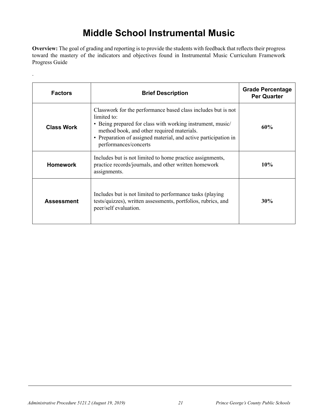### **Middle School Instrumental Music**

**Overview:** The goal of grading and reporting is to provide the students with feedback that reflects their progress toward the mastery of the indicators and objectives found in Instrumental Music Curriculum Framework Progress Guide

| <b>Factors</b>    | <b>Brief Description</b>                                                                                                                                                                                                                                                             | <b>Grade Percentage</b><br><b>Per Quarter</b> |
|-------------------|--------------------------------------------------------------------------------------------------------------------------------------------------------------------------------------------------------------------------------------------------------------------------------------|-----------------------------------------------|
| <b>Class Work</b> | Classwork for the performance based class includes but is not<br>limited to:<br>• Being prepared for class with working instrument, music/<br>method book, and other required materials.<br>• Preparation of assigned material, and active participation in<br>performances/concerts | 60%                                           |
| <b>Homework</b>   | Includes but is not limited to home practice assignments,<br>practice records/journals, and other written homework<br>assignments.                                                                                                                                                   | 10%                                           |
| <b>Assessment</b> | Includes but is not limited to performance tasks (playing)<br>tests/quizzes), written assessments, portfolios, rubrics, and<br>peer/self evaluation.                                                                                                                                 | 30%                                           |

.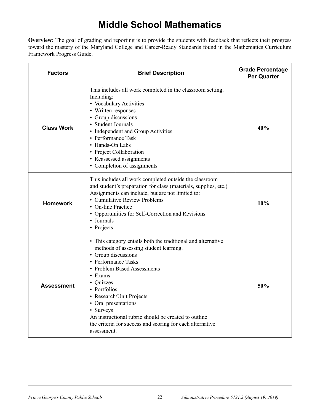### **Middle School Mathematics**

**Overview:** The goal of grading and reporting is to provide the students with feedback that reflects their progress toward the mastery of the Maryland College and Career-Ready Standards found in the Mathematics Curriculum Framework Progress Guide.

| <b>Factors</b>    | <b>Brief Description</b>                                                                                                                                                                                                                                                                                                                                                                                                       | <b>Grade Percentage</b><br><b>Per Quarter</b> |
|-------------------|--------------------------------------------------------------------------------------------------------------------------------------------------------------------------------------------------------------------------------------------------------------------------------------------------------------------------------------------------------------------------------------------------------------------------------|-----------------------------------------------|
| <b>Class Work</b> | This includes all work completed in the classroom setting.<br>Including:<br>• Vocabulary Activities<br>• Written responses<br>• Group discussions<br>• Student Journals<br>• Independent and Group Activities<br>• Performance Task<br>• Hands-On Labs<br>• Project Collaboration<br>• Reassessed assignments<br>• Completion of assignments                                                                                   | 40%                                           |
| <b>Homework</b>   | This includes all work completed outside the classroom<br>and student's preparation for class (materials, supplies, etc.)<br>Assignments can include, but are not limited to:<br>• Cumulative Review Problems<br>• On-line Practice<br>• Opportunities for Self-Correction and Revisions<br>• Journals<br>• Projects                                                                                                           | 10%                                           |
| Assessment        | • This category entails both the traditional and alternative<br>methods of assessing student learning.<br>• Group discussions<br>• Performance Tasks<br>• Problem Based Assessments<br>• Exams<br>• Quizzes<br>• Portfolios<br>Research/Unit Projects<br>• Oral presentations<br>• Surveys<br>An instructional rubric should be created to outline<br>the criteria for success and scoring for each alternative<br>assessment. | 50%                                           |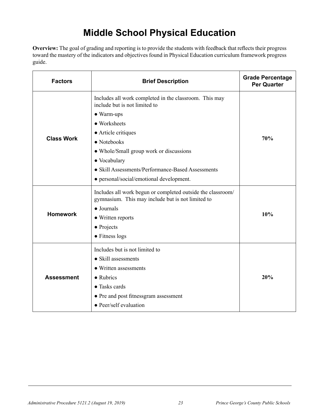# **Middle School Physical Education**

**Overview:** The goal of grading and reporting is to provide the students with feedback that reflects their progress toward the mastery of the indicators and objectives found in Physical Education curriculum framework progress guide.

| <b>Factors</b>    | <b>Brief Description</b>                                                                                                                                                                                                                                                                                                        | <b>Grade Percentage</b><br><b>Per Quarter</b> |
|-------------------|---------------------------------------------------------------------------------------------------------------------------------------------------------------------------------------------------------------------------------------------------------------------------------------------------------------------------------|-----------------------------------------------|
| <b>Class Work</b> | Includes all work completed in the classroom. This may<br>include but is not limited to<br>$\bullet$ Warm-ups<br>• Worksheets<br>• Article critiques<br>• Notebooks<br>• Whole/Small group work or discussions<br>• Vocabulary<br>• Skill Assessments/Performance-Based Assessments<br>• personal/social/emotional development. | 70%                                           |
| <b>Homework</b>   | Includes all work begun or completed outside the classroom/<br>gymnasium. This may include but is not limited to<br>$\bullet$ Journals<br>• Written reports<br>$\bullet$ Projects<br>• Fitness logs                                                                                                                             | 10%                                           |
| <b>Assessment</b> | Includes but is not limited to<br>• Skill assessments<br>• Written assessments<br>$\bullet$ Rubrics<br>• Tasks cards<br>• Pre and post fitnessgram assessment<br>• Peer/self evaluation                                                                                                                                         | 20%                                           |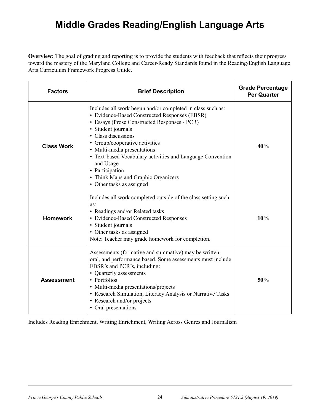### **Middle Grades Reading/English Language Arts**

**Overview:** The goal of grading and reporting is to provide the students with feedback that reflects their progress toward the mastery of the Maryland College and Career-Ready Standards found in the Reading/English Language Arts Curriculum Framework Progress Guide.

| <b>Factors</b>    | <b>Brief Description</b>                                                                                                                                                                                                                                                                                                                                                                                                                    | <b>Grade Percentage</b><br><b>Per Quarter</b> |
|-------------------|---------------------------------------------------------------------------------------------------------------------------------------------------------------------------------------------------------------------------------------------------------------------------------------------------------------------------------------------------------------------------------------------------------------------------------------------|-----------------------------------------------|
| <b>Class Work</b> | Includes all work begun and/or completed in class such as:<br>• Evidence-Based Constructed Responses (EBSR)<br>• Essays (Prose Constructed Responses - PCR)<br>• Student journals<br>• Class discussions<br>• Group/cooperative activities<br>• Multi-media presentations<br>• Text-based Vocabulary activities and Language Convention<br>and Usage<br>• Participation<br>• Think Maps and Graphic Organizers<br>• Other tasks as assigned | 40%                                           |
| <b>Homework</b>   | Includes all work completed outside of the class setting such<br>as:<br>• Readings and/or Related tasks<br>• Evidence-Based Constructed Responses<br>• Student journals<br>• Other tasks as assigned<br>Note: Teacher may grade homework for completion.                                                                                                                                                                                    | 10%                                           |
| <b>Assessment</b> | Assessments (formative and summative) may be written,<br>oral, and performance based. Some assessments must include<br>EBSR's and PCR's, including:<br>• Quarterly assessments<br>• Portfolios<br>• Multi-media presentations/projects<br>• Research Simulation, Literacy Analysis or Narrative Tasks<br>• Research and/or projects<br>• Oral presentations                                                                                 | 50%                                           |

Includes Reading Enrichment, Writing Enrichment, Writing Across Genres and Journalism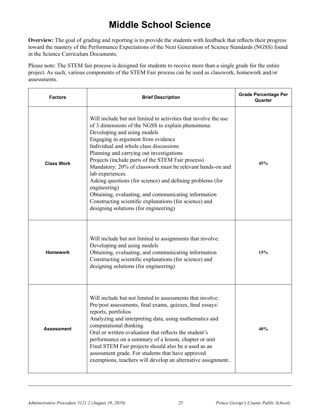### **Middle School Science**

**Overview:** The goal of grading and reporting is to provide the students with feedback that reflects their progress toward the mastery of the Performance Expectations of the Next Generation of Science Standards (NGSS) found in the Science Curriculum Documents.

Please note: The STEM fair process is designed for students to receive more than a single grade for the entire project. As such, various components of the STEM Fair process can be used as classwork, homework and/or assessments.

| <b>Factors</b>    | <b>Brief Description</b>                                                                                                                                                                                                                                                                                                                                                                                                                                                                                                                                                                                                                                      | <b>Grade Percentage Per</b><br>Quarter |
|-------------------|---------------------------------------------------------------------------------------------------------------------------------------------------------------------------------------------------------------------------------------------------------------------------------------------------------------------------------------------------------------------------------------------------------------------------------------------------------------------------------------------------------------------------------------------------------------------------------------------------------------------------------------------------------------|----------------------------------------|
| <b>Class Work</b> | Will include but not limited to activities that involve the use<br>of 3 dimensions of the NGSS to explain phenomena:<br>Developing and using models<br>Engaging in argument from evidence<br>Individual and whole class discussions<br>Planning and carrying out investigations<br>Projects (include parts of the STEM Fair process)<br>Mandatory: 20% of classwork must be relevant hands-on and<br>lab experiences.<br>Asking questions (for science) and defining problems (for<br>engineering)<br>Obtaining, evaluating, and communicating information<br>Constructing scientific explanations (for science) and<br>designing solutions (for engineering) | 45%                                    |
| <b>Homework</b>   | Will include but not limited to assignments that involve:<br>Developing and using models<br>Obtaining, evaluating, and communicating information<br>Constructing scientific explanations (for science) and<br>designing solutions (for engineering)                                                                                                                                                                                                                                                                                                                                                                                                           | 15%                                    |
| <b>Assessment</b> | Will include but not limited to assessments that involve:<br>Pre/post assessments, final exams, quizzes, final essays/<br>reports, portfolios<br>Analyzing and interpreting data, using mathematics and<br>computational thinking<br>Oral or written evaluation that reflects the student's<br>performance on a summary of a lesson, chapter or unit<br>Final STEM Fair projects should also be a used as an<br>assessment grade. For students that have approved<br>exemptions, teachers will develop an alternative assignment                                                                                                                              | 40%                                    |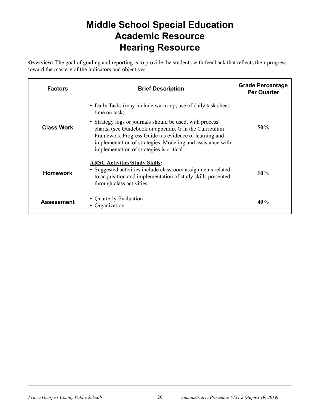### **Middle School Special Education Academic Resource Hearing Resource**

**Overview:** The goal of grading and reporting is to provide the students with feedback that reflects their progress toward the mastery of the indicators and objectives.

| <b>Factors</b>    | <b>Brief Description</b>                                                                                                                                                                                                                                                                                                                                                | <b>Grade Percentage</b><br><b>Per Quarter</b> |
|-------------------|-------------------------------------------------------------------------------------------------------------------------------------------------------------------------------------------------------------------------------------------------------------------------------------------------------------------------------------------------------------------------|-----------------------------------------------|
| <b>Class Work</b> | • Daily Tasks (may include warm-up, use of daily task sheet,<br>time on task)<br>• Strategy logs or journals should be used, with process<br>charts, (see Guidebook or appendix G in the Curriculum<br>Framework Progress Guide) as evidence of learning and<br>implementation of strategies. Modeling and assistance with<br>implementation of strategies is critical. | 50%                                           |
| <b>Homework</b>   | <b>ARSC Activities/Study Skills:</b><br>• Suggested activities include classroom assignments related<br>to acquisition and implementation of study skills presented<br>through class activities.                                                                                                                                                                        | 10%                                           |
| <b>Assessment</b> | • Quarterly Evaluation<br>Organization                                                                                                                                                                                                                                                                                                                                  | 40%                                           |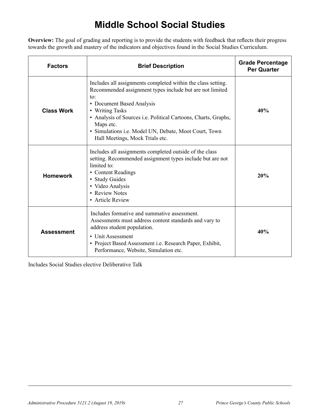# **Middle School Social Studies**

**Overview:** The goal of grading and reporting is to provide the students with feedback that reflects their progress towards the growth and mastery of the indicators and objectives found in the Social Studies Curriculum.

| <b>Factors</b>    | <b>Brief Description</b>                                                                                                                                                                                                                                                                                                                                   | <b>Grade Percentage</b><br><b>Per Quarter</b> |
|-------------------|------------------------------------------------------------------------------------------------------------------------------------------------------------------------------------------------------------------------------------------------------------------------------------------------------------------------------------------------------------|-----------------------------------------------|
| <b>Class Work</b> | Includes all assignments completed within the class setting.<br>Recommended assignment types include but are not limited<br>to:<br>• Document Based Analysis<br>• Writing Tasks<br>• Analysis of Sources i.e. Political Cartoons, Charts, Graphs,<br>Maps etc.<br>· Simulations i.e. Model UN, Debate, Moot Court, Town<br>Hall Meetings, Mock Trials etc. | 40%                                           |
| <b>Homework</b>   | Includes all assignments completed outside of the class<br>setting. Recommended assignment types include but are not<br>limited to:<br>• Content Readings<br>• Study Guides<br>• Video Analysis<br>• Review Notes<br>• Article Review                                                                                                                      | 20%                                           |
| <b>Assessment</b> | Includes formative and summative assessment.<br>Assessments must address content standards and vary to<br>address student population.<br>• Unit Assessment<br>• Project Based Assessment i.e. Research Paper, Exhibit,<br>Performance, Website, Simulation etc.                                                                                            | 40%                                           |

Includes Social Studies elective Deliberative Talk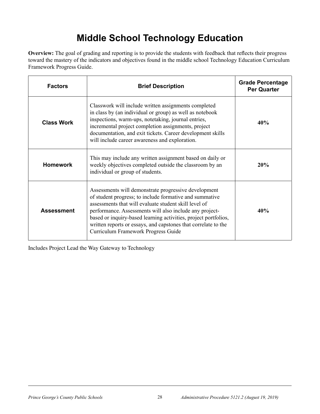# **Middle School Technology Education**

**Overview:** The goal of grading and reporting is to provide the students with feedback that reflects their progress toward the mastery of the indicators and objectives found in the middle school Technology Education Curriculum Framework Progress Guide.

| <b>Factors</b>    | <b>Brief Description</b>                                                                                                                                                                                                                                                                                                                                                                                        | <b>Grade Percentage</b><br><b>Per Quarter</b> |
|-------------------|-----------------------------------------------------------------------------------------------------------------------------------------------------------------------------------------------------------------------------------------------------------------------------------------------------------------------------------------------------------------------------------------------------------------|-----------------------------------------------|
| <b>Class Work</b> | Classwork will include written assignments completed<br>in class by (an individual or group) as well as notebook<br>inspections, warm-ups, notetaking, journal entries,<br>incremental project completion assignments, project<br>documentation, and exit tickets. Career development skills<br>will include career awareness and exploration.                                                                  | 40%                                           |
| <b>Homework</b>   | This may include any written assignment based on daily or<br>weekly objectives completed outside the classroom by an<br>individual or group of students.                                                                                                                                                                                                                                                        | 20%                                           |
| <b>Assessment</b> | Assessments will demonstrate progressive development<br>of student progress; to include formative and summative<br>assessments that will evaluate student skill level of<br>performance. Assessments will also include any project-<br>based or inquiry-based learning activities, project portfolios,<br>written reports or essays, and capstones that correlate to the<br>Curriculum Framework Progress Guide | 40%                                           |

Includes Project Lead the Way Gateway to Technology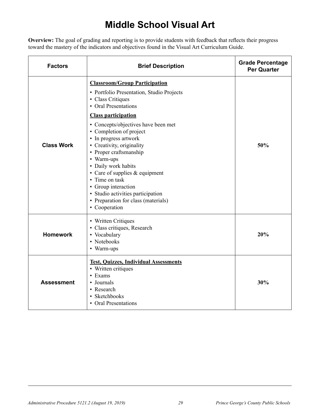# **Middle School Visual Art**

**Overview:** The goal of grading and reporting is to provide students with feedback that reflects their progress toward the mastery of the indicators and objectives found in the Visual Art Curriculum Guide.

| <b>Factors</b>    | <b>Brief Description</b>                                                                                                                                                                                                                                                                                                                                                                                                                                                                                                    | <b>Grade Percentage</b><br><b>Per Quarter</b> |
|-------------------|-----------------------------------------------------------------------------------------------------------------------------------------------------------------------------------------------------------------------------------------------------------------------------------------------------------------------------------------------------------------------------------------------------------------------------------------------------------------------------------------------------------------------------|-----------------------------------------------|
| <b>Class Work</b> | <b>Classroom/Group Participation</b><br>• Portfolio Presentation, Studio Projects<br>• Class Critiques<br>• Oral Presentations<br><b>Class participation</b><br>• Concepts/objectives have been met<br>• Completion of project<br>• In progress artwork<br>• Creativity, originality<br>• Proper craftsmanship<br>• Warm-ups<br>• Daily work habits<br>• Care of supplies & equipment<br>• Time on task<br>• Group interaction<br>• Studio activities participation<br>• Preparation for class (materials)<br>• Cooperation | 50%                                           |
| <b>Homework</b>   | • Written Critiques<br>• Class critiques, Research<br>• Vocabulary<br>• Notebooks<br>• Warm-ups                                                                                                                                                                                                                                                                                                                                                                                                                             | 20%                                           |
| Assessment        | <b>Test, Quizzes, Individual Assessments</b><br>• Written critiques<br>• Exams<br>• Journals<br>• Research<br>• Sketchbooks<br>• Oral Presentations                                                                                                                                                                                                                                                                                                                                                                         | 30%                                           |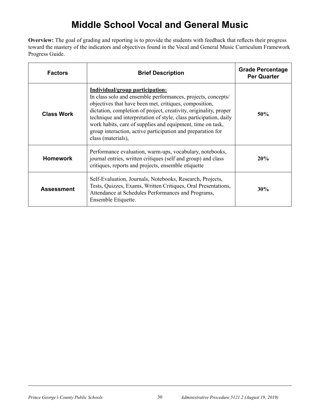# **Middle School Vocal and General Music**

**Overview:** The goal of grading and reporting is to provide the students with feedback that reflects their progress toward the mastery of the indicators and objectives found in the Vocal and General Music Curriculum Framework Progress Guide.

| <b>Factors</b>    | <b>Brief Description</b>                                                                                                                                                                                                                                                                                                                                                                                                                               | <b>Grade Percentage</b><br><b>Per Quarter</b> |
|-------------------|--------------------------------------------------------------------------------------------------------------------------------------------------------------------------------------------------------------------------------------------------------------------------------------------------------------------------------------------------------------------------------------------------------------------------------------------------------|-----------------------------------------------|
| <b>Class Work</b> | Individual/group participation:<br>In class solo and ensemble performances, projects, concepts/<br>objectives that have been met, critiques, composition,<br>dictation, completion of project, creativity, originality, proper<br>technique and interpretation of style, class participation, daily<br>work habits, care of supplies and equipment, time on task,<br>group interaction, active participation and preparation for<br>class (materials), | 50%                                           |
| <b>Homework</b>   | Performance evaluation, warm-ups, vocabulary, notebooks,<br>journal entries, written critiques (self and group) and class<br>critiques, reports and projects, ensemble etiquette                                                                                                                                                                                                                                                                       | 20%                                           |
| <b>Assessment</b> | Self-Evaluation, Journals, Notebooks, Research, Projects,<br>Tests, Quizzes, Exams, Written Critiques, Oral Presentations,<br>Attendance at Schedules Performances and Programs,<br>Ensemble Etiquette.                                                                                                                                                                                                                                                | 30%                                           |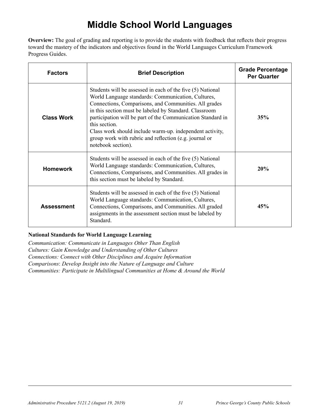### **Middle School World Languages**

**Overview:** The goal of grading and reporting is to provide the students with feedback that reflects their progress toward the mastery of the indicators and objectives found in the World Languages Curriculum Framework Progress Guides.

| <b>Factors</b>    | <b>Brief Description</b>                                                                                                                                                                                                                                                                                                                                                                                                                                        | <b>Grade Percentage</b><br><b>Per Quarter</b> |
|-------------------|-----------------------------------------------------------------------------------------------------------------------------------------------------------------------------------------------------------------------------------------------------------------------------------------------------------------------------------------------------------------------------------------------------------------------------------------------------------------|-----------------------------------------------|
| <b>Class Work</b> | Students will be assessed in each of the five (5) National<br>World Language standards: Communication, Cultures,<br>Connections, Comparisons, and Communities. All grades<br>in this section must be labeled by Standard. Classroom<br>participation will be part of the Communication Standard in<br>this section.<br>Class work should include warm-up. independent activity,<br>group work with rubric and reflection (e.g. journal or<br>notebook section). | 35%                                           |
| <b>Homework</b>   | Students will be assessed in each of the five (5) National<br>World Language standards: Communication, Cultures,<br>Connections, Comparisons, and Communities. All grades in<br>this section must be labeled by Standard.                                                                                                                                                                                                                                       | 20%                                           |
| <b>Assessment</b> | Students will be assessed in each of the five (5) National<br>World Language standards: Communication, Cultures,<br>Connections, Comparisons, and Communities. All graded<br>assignments in the assessment section must be labeled by<br>Standard.                                                                                                                                                                                                              | 45%                                           |

#### **National Standards for World Language Learning**

*Communication: Communicate in Languages Other Than English Cultures: Gain Knowledge and Understanding of Other Cultures Connections: Connect with Other Disciplines and Acquire Information Comparisons*: *Develop Insight into the Nature of Language and Culture Communities: Participate in Multilingual Communities at Home & Around the World*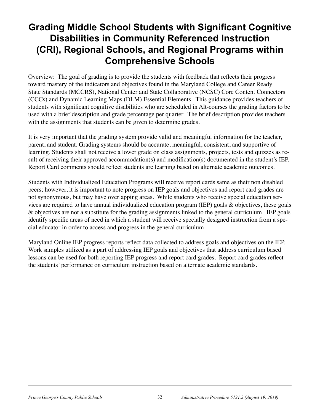### **Grading Middle School Students with Significant Cognitive Disabilities in Community Referenced Instruction (CRI), Regional Schools, and Regional Programs within Comprehensive Schools**

Overview: The goal of grading is to provide the students with feedback that reflects their progress toward mastery of the indicators and objectives found in the Maryland College and Career Ready State Standards (MCCRS), National Center and State Collaborative (NCSC) Core Content Connectors (CCCs) and Dynamic Learning Maps (DLM) Essential Elements. This guidance provides teachers of students with significant cognitive disabilities who are scheduled in Alt-courses the grading factors to be used with a brief description and grade percentage per quarter. The brief description provides teachers with the assignments that students can be given to determine grades.

It is very important that the grading system provide valid and meaningful information for the teacher, parent, and student. Grading systems should be accurate, meaningful, consistent, and supportive of learning. Students shall not receive a lower grade on class assignments, projects, tests and quizzes as result of receiving their approved accommodation(s) and modification(s) documented in the student's IEP. Report Card comments should reflect students are learning based on alternate academic outcomes.

Students with Individualized Education Programs will receive report cards same as their non disabled peers; however, it is important to note progress on IEP goals and objectives and report card grades are not synonymous, but may have overlapping areas. While students who receive special education services are required to have annual individualized education program (IEP) goals & objectives, these goals & objectives are not a substitute for the grading assignments linked to the general curriculum. IEP goals identify specific areas of need in which a student will receive specially designed instruction from a special educator in order to access and progress in the general curriculum.

Maryland Online IEP progress reports reflect data collected to address goals and objectives on the IEP. Work samples utilized as a part of addressing IEP goals and objectives that address curriculum based lessons can be used for both reporting IEP progress and report card grades. Report card grades reflect the students' performance on curriculum instruction based on alternate academic standards.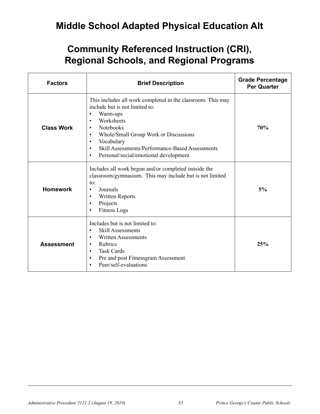### **Middle School Adapted Physical Education Alt**

| <b>Factors</b>    | <b>Brief Description</b>                                                                                                                                                                                                                                                                                                                                                           | <b>Grade Percentage</b><br><b>Per Quarter</b> |
|-------------------|------------------------------------------------------------------------------------------------------------------------------------------------------------------------------------------------------------------------------------------------------------------------------------------------------------------------------------------------------------------------------------|-----------------------------------------------|
| <b>Class Work</b> | This includes all work completed in the classroom. This may<br>include but is not limited to:<br>Warm-ups<br>$\bullet$<br>Worksheets<br>$\bullet$<br>Notebooks<br>$\bullet$<br>Whole/Small Group Work or Discussions<br>$\bullet$<br>Vocabulary<br>$\bullet$<br>Skill Assessments/Performance-Based Assessments<br>$\bullet$<br>Personal/social/emotional development<br>$\bullet$ | 70%                                           |
| <b>Homework</b>   | Includes all work begun and/or completed outside the<br>classroom/gymnasium. This may include but is not limited<br>to:<br>Journals<br>$\bullet$<br><b>Written Reports</b><br>$\bullet$<br>Projects<br>$\bullet$<br><b>Fitness Logs</b>                                                                                                                                            | 5%                                            |
| <b>Assessment</b> | Includes but is not limited to:<br><b>Skill Assessments</b><br>$\bullet$<br><b>Written Assessments</b><br>$\bullet$<br><b>Rubrics</b><br>$\bullet$<br><b>Task Cards</b><br>$\bullet$<br>Pre and post Fitnessgram Assessment<br>$\bullet$<br>Peer/self-evaluations                                                                                                                  | 25%                                           |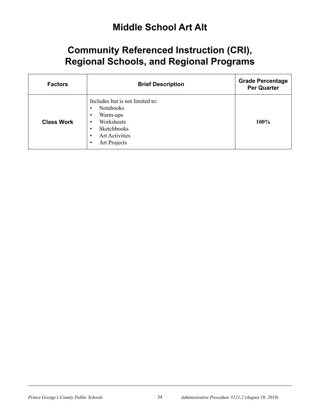#### **Middle School Art Alt**

| <b>Factors</b>    | <b>Brief Description</b>                                                                                                                                                                    | <b>Grade Percentage</b><br><b>Per Quarter</b> |
|-------------------|---------------------------------------------------------------------------------------------------------------------------------------------------------------------------------------------|-----------------------------------------------|
| <b>Class Work</b> | Includes but is not limited to:<br><b>Notebooks</b><br>$\bullet$<br>Warm-ups<br>٠<br>Worksheets<br>٠<br>Sketchbooks<br>٠<br><b>Art Activities</b><br>$\bullet$<br>Art Projects<br>$\bullet$ | 100%                                          |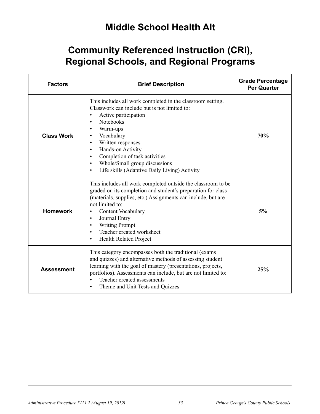### **Middle School Health Alt**

| <b>Factors</b>    | <b>Brief Description</b>                                                                                                                                                                                                                                                                                                                                                                                                                                          | <b>Grade Percentage</b><br><b>Per Quarter</b> |
|-------------------|-------------------------------------------------------------------------------------------------------------------------------------------------------------------------------------------------------------------------------------------------------------------------------------------------------------------------------------------------------------------------------------------------------------------------------------------------------------------|-----------------------------------------------|
| <b>Class Work</b> | This includes all work completed in the classroom setting.<br>Classwork can include but is not limited to:<br>Active participation<br>$\bullet$<br><b>Notebooks</b><br>$\bullet$<br>Warm-ups<br>$\bullet$<br>Vocabulary<br>$\bullet$<br>Written responses<br>$\bullet$<br>Hands-on Activity<br>$\bullet$<br>Completion of task activities<br>$\bullet$<br>Whole/Small group discussions<br>$\bullet$<br>Life skills (Adaptive Daily Living) Activity<br>$\bullet$ | 70%                                           |
| <b>Homework</b>   | This includes all work completed outside the classroom to be<br>graded on its completion and student's preparation for class<br>(materials, supplies, etc.) Assignments can include, but are<br>not limited to:<br><b>Content Vocabulary</b><br>$\bullet$<br>Journal Entry<br>$\bullet$<br><b>Writing Prompt</b><br>$\bullet$<br>Teacher created worksheet<br>$\bullet$<br><b>Health Related Project</b>                                                          | 5%                                            |
| <b>Assessment</b> | This category encompasses both the traditional (exams<br>and quizzes) and alternative methods of assessing student<br>learning with the goal of mastery (presentations, projects,<br>portfolios). Assessments can include, but are not limited to:<br>Teacher created assessments<br>$\bullet$<br>Theme and Unit Tests and Quizzes<br>$\bullet$                                                                                                                   | 25%                                           |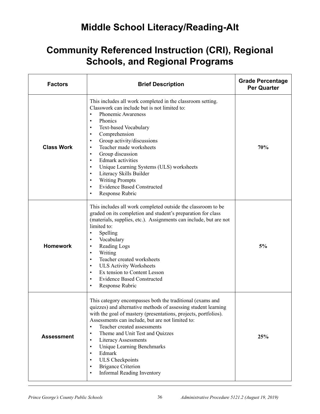### **Middle School Literacy/Reading-Alt**

| <b>Factors</b>    | <b>Brief Description</b>                                                                                                                                                                                                                                                                                                                                                                                                                                                                                                                                                                                                         | <b>Grade Percentage</b><br><b>Per Quarter</b> |
|-------------------|----------------------------------------------------------------------------------------------------------------------------------------------------------------------------------------------------------------------------------------------------------------------------------------------------------------------------------------------------------------------------------------------------------------------------------------------------------------------------------------------------------------------------------------------------------------------------------------------------------------------------------|-----------------------------------------------|
| <b>Class Work</b> | This includes all work completed in the classroom setting.<br>Classwork can include but is not limited to:<br>Phonemic Awareness<br>$\bullet$<br>Phonics<br>$\bullet$<br>Text-based Vocabulary<br>$\bullet$<br>Comprehension<br>$\bullet$<br>Group activity/discussions<br>$\bullet$<br>Teacher made worksheets<br>$\bullet$<br>Group discussion<br>$\bullet$<br><b>Edmark</b> activities<br>$\bullet$<br>Unique Learning Systems (ULS) worksheets<br>$\bullet$<br>Literacy Skills Builder<br>$\bullet$<br><b>Writing Prompts</b><br>$\bullet$<br><b>Evidence Based Constructed</b><br>$\bullet$<br>Response Rubric<br>$\bullet$ | 70%                                           |
| <b>Homework</b>   | This includes all work completed outside the classroom to be<br>graded on its completion and student's preparation for class<br>(materials, supplies, etc.). Assignments can include, but are not<br>limited to:<br>Spelling<br>$\bullet$<br>Vocabulary<br>$\bullet$<br>Reading Logs<br>$\bullet$<br>Writing<br>$\bullet$<br>Teacher created worksheets<br>$\bullet$<br><b>ULS Activity Worksheets</b><br>$\bullet$<br>Ex tension to Content Lesson<br>$\bullet$<br><b>Evidence Based Constructed</b><br>$\bullet$<br>Response Rubric<br>$\bullet$                                                                               | 5%                                            |
| <b>Assessment</b> | This category encompasses both the traditional (exams and<br>quizzes) and alternative methods of assessing student learning<br>with the goal of mastery (presentations, projects, portfolios).<br>Assessments can include, but are not limited to:<br>Teacher created assessments<br>$\bullet$<br>Theme and Unit Test and Quizzes<br>$\bullet$<br><b>Literacy Assessments</b><br>$\bullet$<br><b>Unique Learning Benchmarks</b><br>$\bullet$<br>Edmark<br>$\bullet$<br><b>ULS</b> Checkpoints<br>$\bullet$<br><b>Brigance Criterion</b><br>$\bullet$<br><b>Informal Reading Inventory</b><br>$\bullet$                           | 25%                                           |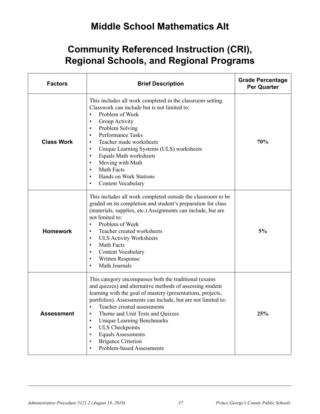### **Middle School Mathematics Alt**

| <b>Factors</b>    | <b>Brief Description</b>                                                                                                                                                                                                                                                                                                                                                                                                                                                                                                               | <b>Grade Percentage</b><br><b>Per Quarter</b> |
|-------------------|----------------------------------------------------------------------------------------------------------------------------------------------------------------------------------------------------------------------------------------------------------------------------------------------------------------------------------------------------------------------------------------------------------------------------------------------------------------------------------------------------------------------------------------|-----------------------------------------------|
| <b>Class Work</b> | This includes all work completed in the classroom setting.<br>Classwork can include but is not limited to:<br>Problem of Week<br>$\bullet$<br>Group Activity<br>$\bullet$<br>Problem Solving<br>$\bullet$<br><b>Performance Tasks</b><br>$\bullet$<br>Teacher made worksheets<br>$\bullet$<br>Unique Learning Systems (ULS) worksheets<br>$\bullet$<br><b>Equals Math worksheets</b><br>$\bullet$<br>Moving with Math<br>$\bullet$<br>Math Facts<br>$\bullet$<br>Hands on Work Stations<br>$\bullet$<br>Content Vocabulary             | 70%                                           |
| <b>Homework</b>   | This includes all work completed outside the classroom to be<br>graded on its completion and student's preparation for class<br>(materials, supplies, etc.) Assignments can include, but are<br>not limited to:<br>Problem of Week<br>$\bullet$<br>Teacher created worksheets<br>$\bullet$<br><b>ULS Activity Worksheets</b><br>$\bullet$<br>Math Facts<br>$\bullet$<br>Content Vocabulary<br>$\bullet$<br>Written Response<br>$\bullet$<br>Math Journals<br>$\bullet$                                                                 | 5%                                            |
| <b>Assessment</b> | This category encompasses both the traditional (exams<br>and quizzes) and alternative methods of assessing student<br>learning with the goal of mastery (presentations, projects,<br>portfolios). Assessments can include, but are not limited to:<br>Teacher created assessments<br>$\bullet$<br>Theme and Unit Tests and Quizzes<br>$\bullet$<br><b>Unique Learning Benchmarks</b><br>$\bullet$<br><b>ULS Checkpoints</b><br>$\bullet$<br><b>Equals Assessments</b><br><b>Brigance Criterion</b><br><b>Problem-based Assessments</b> | 25%                                           |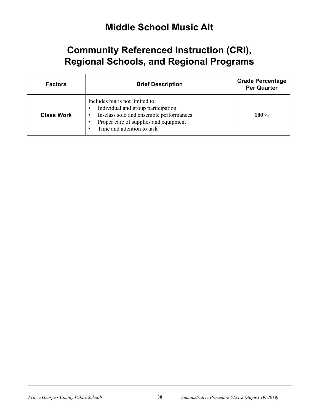#### **Middle School Music Alt**

| <b>Factors</b>    | <b>Brief Description</b>                                                                                                                                                                | <b>Grade Percentage</b><br><b>Per Quarter</b> |
|-------------------|-----------------------------------------------------------------------------------------------------------------------------------------------------------------------------------------|-----------------------------------------------|
| <b>Class Work</b> | Includes but is not limited to:<br>Individual and group participation<br>In-class solo and ensemble performances<br>Proper care of supplies and equipment<br>Time and attention to task | $100\%$                                       |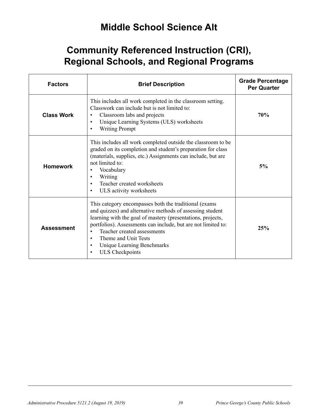### **Middle School Science Alt**

| <b>Factors</b>    | <b>Brief Description</b>                                                                                                                                                                                                                                                                                                                                                                                         | <b>Grade Percentage</b><br><b>Per Quarter</b> |
|-------------------|------------------------------------------------------------------------------------------------------------------------------------------------------------------------------------------------------------------------------------------------------------------------------------------------------------------------------------------------------------------------------------------------------------------|-----------------------------------------------|
| <b>Class Work</b> | This includes all work completed in the classroom setting.<br>Classwork can include but is not limited to:<br>Classroom labs and projects<br>$\bullet$<br>Unique Learning Systems (ULS) worksheets<br>$\bullet$<br><b>Writing Prompt</b>                                                                                                                                                                         | 70%                                           |
| <b>Homework</b>   | This includes all work completed outside the classroom to be.<br>graded on its completion and student's preparation for class<br>(materials, supplies, etc.) Assignments can include, but are<br>not limited to:<br>Vocabulary<br>$\bullet$<br>Writing<br>$\bullet$<br>Teacher created worksheets<br>ULS activity worksheets                                                                                     | 5%                                            |
| <b>Assessment</b> | This category encompasses both the traditional (exams)<br>and quizzes) and alternative methods of assessing student<br>learning with the goal of mastery (presentations, projects,<br>portfolios). Assessments can include, but are not limited to:<br>Teacher created assessments<br>$\bullet$<br>Theme and Unit Tests<br>$\bullet$<br><b>Unique Learning Benchmarks</b><br>$\bullet$<br><b>ULS</b> Checkpoints | 25%                                           |